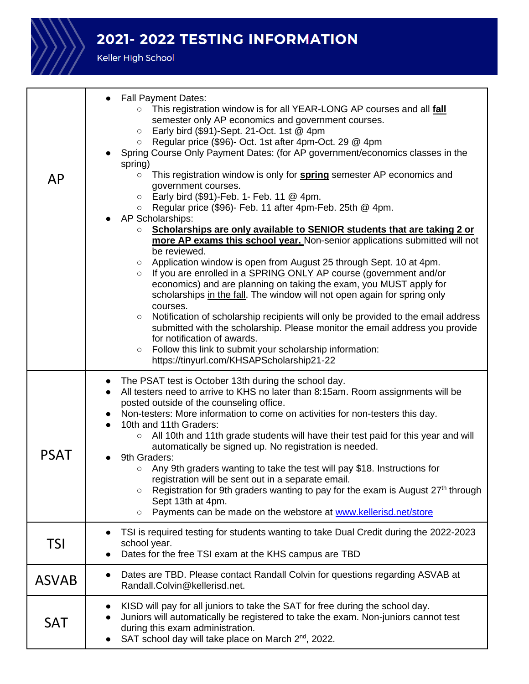

## 2021-2022 TESTING INFORMATION

Keller High School

| AP           | <b>Fall Payment Dates:</b><br>This registration window is for all YEAR-LONG AP courses and all <b>fall</b><br>$\circ$<br>semester only AP economics and government courses.<br>Early bird (\$91)-Sept. 21-Oct. 1st $@$ 4pm<br>$\circ$<br>Regular price (\$96)- Oct. 1st after 4pm-Oct. 29 @ 4pm<br>$\circ$<br>Spring Course Only Payment Dates: (for AP government/economics classes in the<br>spring)<br>This registration window is only for <b>spring</b> semester AP economics and<br>$\circ$<br>government courses.<br>Early bird (\$91)-Feb. 1- Feb. 11 @ 4pm.<br>$\circ$<br>Regular price (\$96)- Feb. 11 after 4pm-Feb. 25th @ 4pm.<br>$\circ$<br>AP Scholarships:<br>Scholarships are only available to SENIOR students that are taking 2 or<br>$\circ$<br>more AP exams this school year. Non-senior applications submitted will not<br>be reviewed.<br>Application window is open from August 25 through Sept. 10 at 4pm.<br>$\circ$<br>If you are enrolled in a SPRING ONLY AP course (government and/or<br>$\circ$<br>economics) and are planning on taking the exam, you MUST apply for<br>scholarships in the fall. The window will not open again for spring only<br>courses.<br>Notification of scholarship recipients will only be provided to the email address<br>$\circ$<br>submitted with the scholarship. Please monitor the email address you provide<br>for notification of awards.<br>Follow this link to submit your scholarship information:<br>$\circ$<br>https://tinyurl.com/KHSAPScholarship21-22 |  |
|--------------|----------------------------------------------------------------------------------------------------------------------------------------------------------------------------------------------------------------------------------------------------------------------------------------------------------------------------------------------------------------------------------------------------------------------------------------------------------------------------------------------------------------------------------------------------------------------------------------------------------------------------------------------------------------------------------------------------------------------------------------------------------------------------------------------------------------------------------------------------------------------------------------------------------------------------------------------------------------------------------------------------------------------------------------------------------------------------------------------------------------------------------------------------------------------------------------------------------------------------------------------------------------------------------------------------------------------------------------------------------------------------------------------------------------------------------------------------------------------------------------------------------------------------------|--|
| <b>PSAT</b>  | The PSAT test is October 13th during the school day.<br>All testers need to arrive to KHS no later than 8:15am. Room assignments will be<br>posted outside of the counseling office.<br>Non-testers: More information to come on activities for non-testers this day.<br>10th and 11th Graders:<br>All 10th and 11th grade students will have their test paid for this year and will<br>$\circ$<br>automatically be signed up. No registration is needed.<br>9th Graders:<br>Any 9th graders wanting to take the test will pay \$18. Instructions for<br>$\circ$<br>registration will be sent out in a separate email.<br>Registration for 9th graders wanting to pay for the exam is August $27th$ through<br>$\circ$<br>Sept 13th at 4pm.<br>Payments can be made on the webstore at www.kellerisd.net/store<br>$\circ$                                                                                                                                                                                                                                                                                                                                                                                                                                                                                                                                                                                                                                                                                                        |  |
| TSI          | TSI is required testing for students wanting to take Dual Credit during the 2022-2023<br>school year.<br>Dates for the free TSI exam at the KHS campus are TBD                                                                                                                                                                                                                                                                                                                                                                                                                                                                                                                                                                                                                                                                                                                                                                                                                                                                                                                                                                                                                                                                                                                                                                                                                                                                                                                                                                   |  |
| <b>ASVAB</b> | Dates are TBD. Please contact Randall Colvin for questions regarding ASVAB at<br>Randall.Colvin@kellerisd.net.                                                                                                                                                                                                                                                                                                                                                                                                                                                                                                                                                                                                                                                                                                                                                                                                                                                                                                                                                                                                                                                                                                                                                                                                                                                                                                                                                                                                                   |  |
| <b>SAT</b>   | KISD will pay for all juniors to take the SAT for free during the school day.<br>Juniors will automatically be registered to take the exam. Non-juniors cannot test<br>during this exam administration.<br>SAT school day will take place on March 2 <sup>nd</sup> , 2022.                                                                                                                                                                                                                                                                                                                                                                                                                                                                                                                                                                                                                                                                                                                                                                                                                                                                                                                                                                                                                                                                                                                                                                                                                                                       |  |